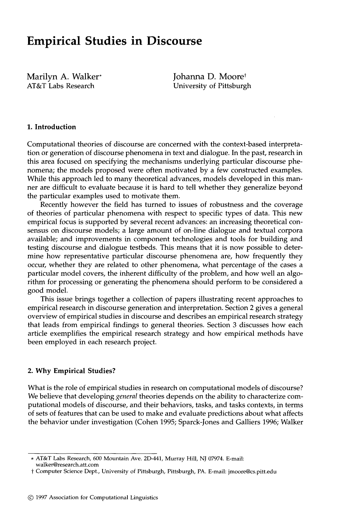# **Empirical Studies in Discourse**

Marilyn A. Walker\* AT&T Labs Research

Johanna D. Moore<sup>t</sup> University of Pittsburgh

#### **1. Introduction**

Computational theories of discourse are concerned with the context-based interpretation or generation of discourse phenomena in text and dialogue. In the past, research in this area focused on specifying the mechanisms underlying particular discourse phenomena; the models proposed were often motivated by a few constructed examples. While this approach led to many theoretical advances, models developed in this manner are difficult to evaluate because it is hard to tell whether they generalize beyond the particular examples used to motivate them.

Recently however the field has turned to issues of robustness and the coverage of theories of particular phenomena with respect to specific types of data. This new empirical focus is supported by several recent advances: an increasing theoretical consensus on discourse models; a large amount of on-line dialogue and textual corpora available; and improvements in component technologies and tools for building and testing discourse and dialogue testbeds. This means that it is now possible to determine how representative particular discourse phenomena are, how frequently they occur, whether they are related to other phenomena, what percentage of the cases a particular model covers, the inherent difficulty of the problem, and how well an algorithm for processing or generating the phenomena should perform to be considered a good model.

This issue brings together a collection of papers illustrating recent approaches to empirical research in discourse generation and interpretation. Section 2 gives a general overview of empirical studies in discourse and describes an empirical research strategy that leads from empirical findings to general theories. Section 3 discusses how each article exemplifies the empirical research strategy and how empirical methods have been employed in each research project.

#### **2. Why Empirical Studies?**

What is the role of empirical studies in research on computational models of discourse? We believe that developing *general* theories depends on the ability to characterize computational models of discourse, and their behaviors, tasks, and tasks contexts, in terms of sets of features that can be used to make and evaluate predictions about what affects the behavior under investigation (Cohen 1995; Sparck-Jones and Galliers 1996; Walker

<sup>\*</sup> AT&T Labs Research, 600 Mountain Ave. 2D-441, Murray Hill, NJ 07974. E-mail: walker@research.att.com

t Computer Science Dept., University of Pittsburgh, Pittsburgh, PA. E-mail: jmoore@cs.pitt.edu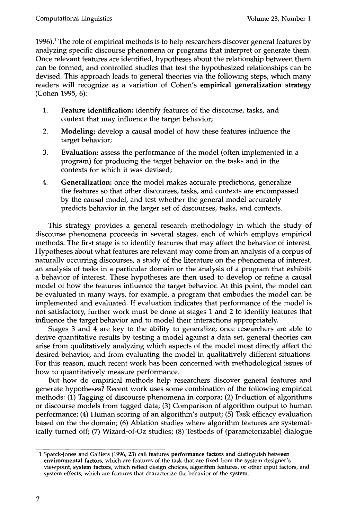$1996$ .<sup>1</sup> The role of empirical methods is to help researchers discover general features by analyzing specific discourse phenomena or programs that interpret or generate them. Once relevant features are identified, hypotheses about the relationship between them can be formed, and controlled studies that test the hypothesized relationships can be devised. This approach leads to general theories via the following steps, which many readers will recognize as a variation of Cohen's **empirical generalization strategy**  (Cohen 1995, 6):

- **1. Feature identification:** identify features of the discourse, tasks, and context that may influence the target behavior;
- 2. Modeling: develop a causal model of how these features influence the target behavior;
- **3. Evaluation:** assess the performance of the model (often implemented in a program) for producing the target behavior on the tasks and in the contexts for which it was devised;
- 4. Generalization: once the model makes accurate predictions, generalize the features so that other discourses, tasks, and contexts are encompassed by the causal model, and test whether the general model accurately predicts behavior in the larger set of discourses, tasks, and contexts.

This strategy provides a general research methodology in which the study of discourse phenomena proceeds in several stages, each of which employs empirical methods. The first stage is to identify features that may affect the behavior of interest. Hypotheses about what features are relevant may come from an analysis of a corpus of naturally occurring discourses, a study of the literature on the phenomena of interest, an analysis of tasks in a particular domain or the analysis of a program that exhibits a behavior of interest. These hypotheses are then used to develop or refine a causal model of how the features influence the target behavior. At this point, the model can be evaluated in many ways, for example, a program that embodies the model can be implemented and evaluated. If evaluation indicates that performance of the model is not satisfactory, further work must be done at stages 1 and 2 to identify features that influence the target behavior and to model their interactions appropriately.

Stages 3 and 4 are key to the ability to generalize; once researchers are able to derive quantitative results by testing a model against a data set, general theories can arise from qualitatively analyzing which aspects of the model most directly affect the desired behavior, and from evaluating the model in qualitatively different situations. For this reason, much recent work has been concerned with methodological issues of how to quantitatively measure performance.

But how do empirical methods help researchers discover general features and generate hypotheses? Recent work uses some combination of the following empirical methods: (1) Tagging of discourse phenomena in corpora; (2) Induction of algorithms or discourse models from tagged data; (3) Comparison of algorithm output to human performance; (4) Human scoring of an algorithm's output; (5) Task efficacy evaluation based on the the domain; (6) Ablation studies where algorithm features are systematically turned off; (7) Wizard-of-Oz studies; (8) Testbeds of (parameterizable) dialogue

<sup>1</sup> Sparck-Jones and Galliers (1996, 23) call features **performance factors** and distinguish between **environmental factors,** which are features of the task that are fixed from the system designer's viewpoint, **system factors,** which reflect design choices, algorithm features, or other input factors, and **system effects,** which are features that characterize the behavior of the system.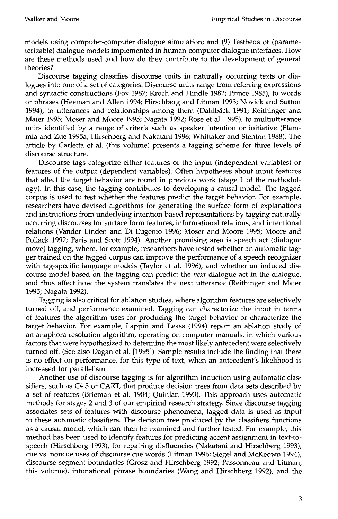models using computer-computer dialogue simulation; and (9) Testbeds of (parameterizable) dialogue models implemented in human-computer dialogue interfaces. How are these methods used and how do they contribute to the development of general theories?

Discourse tagging classifies discourse units in naturally occurring texts or dialogues into one of a set of categories. Discourse units range from referring expressions and syntactic constructions (Fox 1987; Kroch and Hindle 1982; Prince 1985), to words or phrases (Heeman and Allen 1994; Hirschberg and Litman 1993; Novick and Sutton 1994), to utterances and relationships among them (Dahlbäck 1991; Reithinger and Maier 1995; Moser and Moore 1995; Nagata 1992; Rose et al. 1995), to multiutterance units identified by a range of criteria such as speaker intention or initiative (Flammia and Zue 1995a; Hirschberg and Nakatani 1996; Whittaker and Stenton 1988). The article by Carletta et al. (this volume) presents a tagging scheme for three levels of discourse structure.

Discourse tags categorize either features of the input (independent variables) or features of the output (dependent variables). Often hypotheses about input features that affect the target behavior are found in previous work (stage 1 of the methodology). In this case, the tagging contributes to developing a causal model. The tagged corpus is used to test whether the features predict the target behavior. For example, researchers have devised algorithms for generating the surface form of explanations and instructions from underlying intention-based representations by tagging naturally occurring discourses for surface form features, informational relations, and intentional relations (Vander Linden and Di Eugenio 1996; Moser and Moore 1995; Moore and Pollack 1992; Paris and Scott 1994). Another promising area is speech act (dialogue move) tagging, where, for example, researchers have tested whether an automatic tagger trained on the tagged corpus can improve the performance of a speech recognizer with tag-specific language models (Taylor et al. 1996), and whether an induced discourse model based on the tagging can predict the *next* dialogue act in the dialogue, and thus affect how the system translates the next utterance (Reithinger and Maier 1995; Nagata 1992).

Tagging is also critical for ablation studies, where algorithm features are selectively turned off, and performance examined. Tagging can characterize the input in terms of features the algorithm uses for producing the target behavior or characterize the target behavior. For example, Lappin and Leass (1994) report an ablation study of an anaphora resolution algorithm, operating on computer manuals, in which various factors that were hypothesized to determine the most likely antecedent were selectively turned off. (See also Dagan et al. [1995]). Sample results include the finding that there is no effect on performance, for this type of text, when an antecedent's likelihood is increased for parallelism.

Another use of discourse tagging is for algorithm induction using automatic classifiers, such as C4.5 or CART, that produce decision trees from data sets described by a set of features (Brieman et al. 1984; Quinlan 1993). This approach uses automatic methods for stages 2 and 3 of our empirical research strategy. Since discourse tagging associates sets of features with discourse phenomena, tagged data is used as input to these automatic classifiers. The decision tree produced by the classifiers functions as a causal model, which can then be examined and further tested. For example, this method has been used to identify features for predicting accent assignment in text-tospeech (Hirschberg 1993), for repairing disfluencies (Nakatani and Hirschberg 1993), cue vs. noncue uses of discourse cue words (Litman 1996; Siegel and McKeown 1994), discourse segment boundaries (Grosz and Hirschberg 1992; Passonneau and Litman, this volume), intonational phrase boundaries (Wang and Hirschberg 1992), and the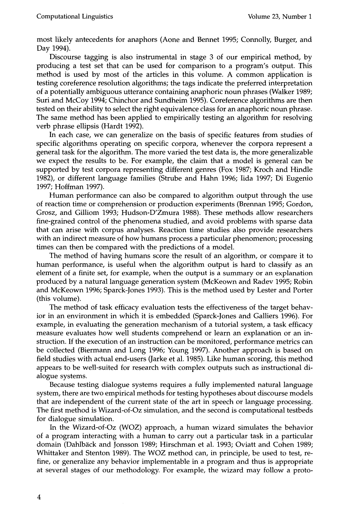most likely antecedents for anaphors (Aone and Bennet 1995; Connolly, Burger, and Day 1994).

Discourse tagging is also instrumental in stage 3 of our empirical method, by producing a test set that can be used for comparison to a program's output. This method is used by most of the articles in this volume. A common application is testing coreference resolution algorithms; the tags indicate the preferred interpretation of a potentially ambiguous utterance containing anaphoric noun phrases (Walker 1989; Suri and McCoy 1994; Chinchor and Sundheim 1995). Coreference algorithms are then tested on their ability to select the right equivalence class for an anaphoric noun phrase. The same method has been applied to empirically testing an algorithm for resolving verb phrase ellipsis (Hardt 1992).

In each case, we can generalize on the basis of specific features from studies of specific algorithms operating on specific corpora, whenever the corpora represent a general task for the algorithm. The more varied the test data is, the more generalizable we expect the results to be. For example, the claim that a model is general can be supported by test corpora representing different genres (Fox 1987; Kroch and Hindle 1982), or different language families (Strube and Hahn 1996; Iida 1997; Di Eugenio 1997; Hoffman 1997).

Human performance can also be compared to algorithm output through the use of reaction time or comprehension or production experiments (Brennan 1995; Gordon, Grosz, and Gilliom 1993; Hudson-D'Zmura 1988). These methods allow researchers fine-grained control of the phenomena studied, and avoid problems with sparse data that can arise with corpus analyses. Reaction time studies also provide researchers with an indirect measure of how humans process a particular phenomenon; processing times can then be compared with the predictions of a model.

The method of having humans score the result of an algorithm, or compare it to human performance, is useful when the algorithm output is hard to classify as an element of a finite set, for example, when the output is a summary or an explanation produced by a natural language generation system (McKeown and Radev 1995; Robin and McKeown 1996; Sparck-Jones 1993). This is the method used by Lester and Porter (this volume).

The method of task efficacy evaluation tests the effectiveness of the target behavior in an environment in which it is embedded (Sparck-Jones and Galliers 1996). For example, in evaluating the generation mechanism of a tutorial system, a task efficacy measure evaluates how well students comprehend or learn an explanation or an instruction. If the execution of an instruction can be monitored, performance metrics can be collected (Biermann and Long 1996; Young 1997). Another approach is based on field studies with actual end-users (Jarke et al. 1985). Like human scoring, this method appears to be well-suited for research with complex outputs such as instructional dialogue systems.

Because testing dialogue systems requires a fully implemented natural language system, there are two empirical methods for testing hypotheses about discourse models that are independent of the current state of the art in speech or language processing. The first method is Wizard-of-Oz simulation, and the second is computational testbeds for dialogue simulation.

In the Wizard-of-Oz (WOZ) approach, a human wizard simulates the behavior of a program interacting with a human to carry out a particular task in a particular domain (Dahlbäck and Jonsson 1989; Hirschman et al. 1993; Oviatt and Cohen 1989; Whittaker and Stenton 1989). The WOZ method can, in principle, be used to test, refine, or generalize any behavior implementable in a program and thus is appropriate at several stages of our methodology. For example, the wizard may follow a proto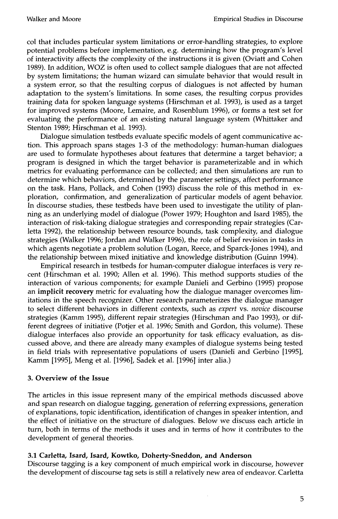col that includes particular system limitations or error-handling strategies, to explore potential problems before implementation, e.g. determining how the program's level of interactivity affects the complexity of the instructions it is given (Oviatt and Cohen 1989). In addition, WOZ is often used to collect sample dialogues that are not affected by system limitations; the human wizard can simulate behavior that would result in a system error, so that the resulting corpus of dialogues is not affected by human adaptation to the system's limitations. In some cases, the resulting corpus provides training data for spoken language systems (Hirschman et al. 1993), is used as a target for improved systems (Moore, Lemaire, and Rosenblum 1996), or forms a test set for evaluating the performance of an existing natural language system (Whittaker and Stenton 1989; Hirschman et al. 1993).

Dialogue simulation testbeds evaluate specific models of agent communicative action. This approach spans stages 1-3 of the methodology: human-human dialogues are used to formulate hypotheses about features that determine a target behavior; a program is designed in which the target behavior is parameterizable and in which metrics for evaluating performance can be collected; and then simulations are run to determine which behaviors, determined by the parameter settings, affect performance on the task. Hans, Pollack, and Cohen (1993) discuss the role of this method in exploration, confirmation, and generalization of particular models of agent behavior. In discourse studies, these testbeds have been used to investigate the utility of planning as an underlying model of dialogue (Power 1979; Houghton and Isard 1985), the interaction of risk-taking dialogue strategies and corresponding repair strategies (Carletta 1992), the relationship between resource bounds, task complexity, and dialogue strategies (Walker 1996; Jordan and Walker 1996), the role of belief revision in tasks in which agents negotiate a problem solution (Logan, Reece, and Sparck-Jones 1994), and the relationship between mixed initiative and knowledge distribution (Guinn 1994).

Empirical research in testbeds for human-computer dialogue interfaces is very recent (Hirschman et al. 1990; Allen et al. 1996). This method supports studies of the interaction of various components; for example Danieli and Gerbino (1995) propose an **implicit recovery** metric for evaluating how the dialogue manager overcomes limitations in the speech recognizer. Other research parameterizes the dialogue manager to select different behaviors in different contexts, such as *expert* vs. *novice* discourse strategies (Kamm 1995), different repair strategies (Hirschman and Pao 1993), or different degrees of initiative (Potjer et al. 1996; Smith and Gordon, this volume). These dialogue interfaces also provide an opportunity for task efficacy evaluation, as discussed above, and there are already many examples of dialogue systems being tested in field trials with representative populations of users (Danieli and Gerbino [1995], Kamm [1995], Meng et al. [1996], Sadek et al. [1996] inter alia.)

## **3. Overview of the Issue**

The articles in this issue represent many of the empirical methods discussed above and span research on dialogue tagging, generation of referring expressions, generation of explanations, topic identification, identification of changes in speaker intention, and the effect of initiative on the structure of dialogues. Below we discuss each article in turn, both in terms of the methods it uses and in terms of how it contributes to the development of general theories.

#### **3.1 Carletta, Isard, Isard, Kowtko, Doherty-Sneddon, and Anderson**

Discourse tagging is a key component of much empirical work in discourse, however the development of discourse tag sets is still a relatively new area of endeavor. Carletta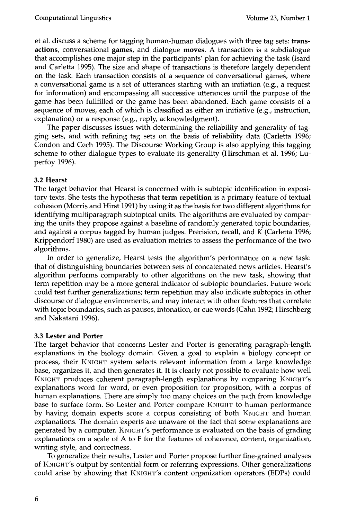et al. discuss a scheme for tagging human-human dialogues with three tag sets: **transactions, conversational games,** and dialogue moves. A transaction is a subdialogue that accomplishes one major step in the participants' plan for achieving the task (Isard and Carletta 1995). The size and shape of transactions is therefore largely dependent on the task. Each transaction consists of a sequence of conversational games, where a conversational game is a set of utterances starting with an initiation (e.g., a request for information) and encompassing all successive utterances until the purpose of the game has been fullfilled or the game has been abandoned. Each game consists of a sequence of moves, each of which is classified as either an initiative (e.g., instruction, explanation) or a response (e.g., reply, acknowledgment).

The paper discusses issues with determining the reliability and generality of tagging sets, and with refining tag sets on the basis of reliability data (Carletta 1996; Condon and Cech 1995). The Discourse Working Group is also applying this tagging scheme to other dialogue types to evaluate its generality (Hirschman et al. 1996; Luperfoy 1996).

## **3.2 Hearst**

The target behavior that Hearst is concerned with is subtopic identification in expository texts. She tests the hypothesis that term repetition is a primary feature of textual cohesion (Morris and Hirst 1991) by using it as the basis for two different algorithms for identifying multiparagraph subtopical units. The algorithms are evaluated by comparing the units they propose against a baseline of randomly generated topic boundaries, and against a corpus tagged by human judges. Precision, recall, and K (Carletta 1996; Krippendorf 1980) are used as evaluation metrics to assess the performance of the two algorithms.

In order to generalize, Hearst tests the algorithm's performance on a new task: that of distinguishing boundaries between sets of concatenated news articles. Hearst's algorithm performs comparably to other algorithms on the new task, showing that term repetition may be a more general indicator of subtopic boundaries. Future work could test further generalizations; term repetition may also indicate subtopics in other discourse or dialogue environments, and may interact with other features that correlate with topic boundaries, such as pauses, intonation, or cue words (Cahn 1992; Hirschberg and Nakatani 1996).

#### **3.3 Lester and Porter**

The target behavior that concerns Lester and Porter is generating paragraph-length explanations in the biology domain. Given a goal to explain a biology concept or process, their KNIGHT system selects relevant information from a large knowledge base, organizes it, and then generates it. It is clearly not possible to evaluate how well KNIGHT produces coherent paragraph-length explanations by comparing KNIGHT'S explanations word for word, or even proposition for proposition, with a corpus of human explanations. There are simply too many choices on the path from knowledge base to surface form. So Lester and Porter compare KNIGHT to human performance by having domain experts score a corpus consisting of both KNIGHT and human explanations. The domain experts are unaware of the fact that some explanations are generated by a computer. KNIGHT'S performance is evaluated on the basis of grading explanations on a scale of A to F for the features of coherence, content, organization, writing style, and correctness.

To generalize their results, Lester and Porter propose further fine-grained analyses of KNIGHT'S output by sentential form or referring expressions. Other generalizations could arise by showing that KNIGHT'S content organization operators (EDPs) could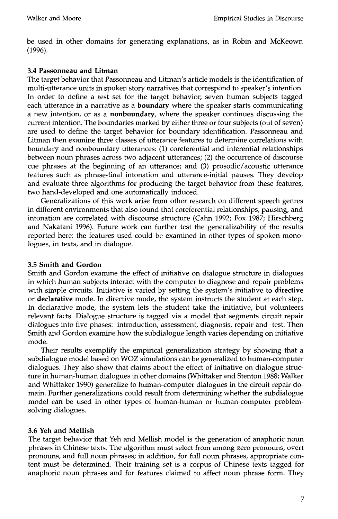be used in other domains for generating explanations, as in Robin and McKeown (1996).

## **3.4 Passonneau and Litman**

The target behavior that Passonneau and Litman's article models is the identification of multi-utterance units in spoken story narratives that correspond to speaker's intention. In order to define a test set for the target behavior, seven human subjects tagged each utterance in a narrative as a **boundary** where the speaker starts communicating a new intention, or as a nonboundary, where the speaker continues discussing the current intention. The boundaries marked by either three or four subjects (out of seven) are used to define the target behavior for boundary identification. Passonneau and Litman then examine three classes of utterance features to determine correlations with boundary and nonboundary utterances: (1) coreferential and inferential relationships between noun phrases across two adjacent utterances; (2) the occurrence of discourse cue phrases at the beginning of an utterance; and (3) prosodic/acoustic utterance features such as phrase-final intonation and utterance-initial pauses. They develop and evaluate three algorithms for producing the target behavior from these features, two hand-developed and one automatically induced.

Generalizations of this work arise from other research on different speech genres in different environments that also found that coreferential relationships, pausing, and intonation are correlated with discourse structure (Cahn 1992; Fox 1987; Hirschberg and Nakatani 1996). Future work can further test the generalizability of the results reported here: the features used could be examined in other types of spoken monologues, in texts, and in dialogue.

# **3.5 Smith and Gordon**

Smith and Gordon examine the effect of initiative on dialogue structure in dialogues in which human subjects interact with the computer to diagnose and repair problems with simple circuits. Initiative is varied by setting the system's initiative to directive or declarative mode. In directive mode, the system instructs the student at each step. In declarative mode, the system lets the student take the initiative, but volunteers relevant facts. Dialogue structure is tagged via a model that segments circuit repair dialogues into five phases: introduction, assessment, diagnosis, repair and test. Then Smith and Gordon examine how the subdialogue length varies depending on initiative mode.

Their results exemplify the empirical generalization strategy by showing that a subdialogue model based on WOZ simulations can be generalized to human-computer dialogues. They also show that claims about the effect of initiative on dialogue structure in human-human dialogues in other domains (Whittaker and Stenton 1988; Walker and Whittaker 1990) generalize to human-computer dialogues in the circuit repair domain. Further generalizations could result from determining whether the subdialogue model can be used in other types of human-human or human-computer problemsolving dialogues.

# **3.6 Yeh and Mellish**

The target behavior that Yeh and Mellish model is the generation of anaphoric noun phrases in Chinese texts. The algorithm must select from among zero pronouns, overt pronouns, and full noun phrases; in addition, for full noun phrases, appropriate content must be determined. Their training set is a corpus of Chinese texts tagged for anaphoric noun phrases and for features claimed to affect noun phrase form. They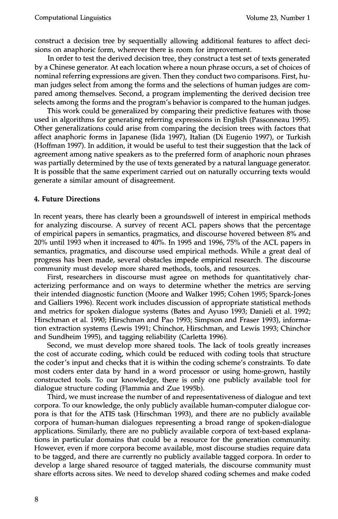construct a decision tree by sequentially allowing additional features to affect decisions on anaphoric form, wherever there is room for improvement.

In order to test the derived decision tree, they construct a test set of texts generated by a Chinese generator. At each location where a noun phrase occurs, a set of choices of nominal referring expressions are given. Then they conduct two comparisons. First, human judges select from among the forms and the selections of human judges are compared among themselves. Second, a program implementing the derived decision tree selects among the forms and the program's behavior is compared to the human judges.

This work could be generalized by comparing their predictive features with those used in algorithms for generating referring expressions in English (Passonneau 1995). Other generalizations could arise from comparing the decision trees with factors that affect anaphoric forms in Japanese (Iida 1997), Italian (Di Eugenio 1997), or Turkish (Hoffman 1997). In addition, it would be useful to test their suggestion that the lack of agreement among native speakers as to the preferred form of anaphoric noun phrases was partially determined by the use of texts generated by a natural language generator. It is possible that the same experiment carried out on naturally occurring texts would generate a similar amount of disagreement.

#### **4. Future Directions**

In recent years, there has clearly been a groundswell of interest in empirical methods for analyzing discourse. A survey of recent ACL papers shows that the percentage of empirical papers in semantics, pragmatics, and discourse hovered between 8% and 20% until 1993 when it increased to 40%. In 1995 and 1996, 75% of the ACL papers in semantics, pragmatics, and discourse used empirical methods. While a great deal of progress has been made, several obstacles impede empirical research. The discourse community must develop more shared methods, tools, and resources.

First, researchers in discourse must agree on methods for quantitatively characterizing performance and on ways to determine whether the metrics are serving their intended diagnostic function (Moore and Walker 1995; Cohen 1995; Sparck-Jones and Galliers 1996). Recent work includes discussion of appropriate statistical methods and metrics for spoken dialogue systems (Bates and Ayuso 1993; Danieli et al. 1992; Hirschman et al. 1990; Hirschman and Pao 1993; Simpson and Fraser 1993), information extraction systems (Lewis 1991; Chinchor, Hirschman, and Lewis 1993; Chinchor and Sundheim 1995), and tagging reliability (Carletta 1996).

Second, we must develop more shared tools. The lack of tools greatly increases the cost of accurate coding, which could be reduced with coding tools that structure the coder's input and checks that it is within the coding scheme's constraints. To date most coders enter data by hand in a word processor or using home-grown, hastily constructed tools. To our knowledge, there is only one publicly available tool for dialogue structure coding (Flammia and Zue 1995b).

Third, we must increase the number of and representativeness of dialogue and text corpora. To our knowledge, the only publicly available human-computer dialogue corpora is that for the ATIS task (Hirschman 1993), and there are no publicly available corpora of human-human dialogues representing a broad range of spoken-dialogue applications. Similarly, there are no publicly available corpora of text-based explanations in particular domains that could be a resource for the generation community. However, even if more corpora become available, most discourse studies require data to be tagged, and there are currently no publicly available tagged corpora. In order to develop a large shared resource of tagged materials, the discourse community must share efforts across sites. We need to develop shared coding schemes and make coded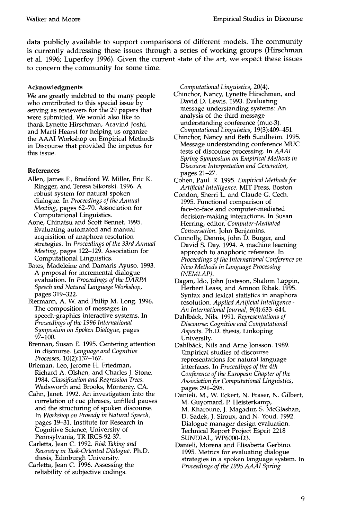data publicly available to support comparisons of different models. The community is currently addressing these issues through a series of working groups (Hirschman et al. 1996; Luperfoy 1996). Given the current state of the art, we expect these issues to concern the community for some time.

#### **Acknowledgments**

We are greatly indebted to the many people who contributed to this special issue by serving as reviewers for the 29 papers that were submitted. We would also like to thank Lynette Hirschman, Aravind Joshi, and Marti Hearst for helping us organize the AAAI Workshop on Empirical Methods in Discourse that provided the impetus for this issue.

## **References**

- Allen, James E, Bradford W. Miller, Eric K. Ringger, and Teresa Sikorski. 1996. A robust system for natural spoken dialogue. In *Proceedings of the Annual Meeting,* pages 62-70. Association for Computational Linguistics.
- Aone, Chinatsu and Scott Bennet. 1995. Evaluating automated and manual acquisition of anaphora resolution strategies. In *Proceedings of the 33rd Annual Meeting,* pages 122-129. Association for Computational Linguistics.
- Bates, Madeleine and Damaris Ayuso. 1993. A proposal for incremental dialogue evaluation. In *Proceedings of the DARPA Speech and Natural Language Workshop,*  pages 319-322.
- Biermann, A. W. and Philip M. Long. 1996. The composition of messages in speech-graphics interactive systems. In *Proceedings of the 1996 International Symposium on Spoken Dialogue,* pages 97-100.
- Brennan, Susan E. 1995. Centering attention in discourse. *Language and Cognitive Processes,* 10(2):137-167.
- Brieman, Leo, Jerome H. Friedman, Richard A. Olshen, and Charles J. Stone. 1984. *Classification and Regression Trees.*  Wadsworth and Brooks, Monterey, CA.
- Cahn, Janet. 1992. An investigation into the correlation of cue phrases, unfilled pauses and the structuring of spoken discourse. *In Workshop on Prosody in Natural Speech,*  pages 19-31. Institute for Research in Cognitive Science, University of Pennsylvania, TR IRCS-92-37.
- Carletta, Jean C. 1992. *Risk Taking and Recovery in Task-Oriented Dialogue.* Ph.D. thesis, Edinburgh University.
- Carletta, Jean C. 1996. Assessing the reliability of subjective codings.

*Computational Linguistics,* 20(4).

- Chinchor, Nancy, Lynette Hirschman, and David D. Lewis. 1993. Evaluating message understanding systems: An analysis of the third message understanding conference (muc-3). *Computational Linguistics,* 19(3):409-451.
- Chinchor, Nancy and Beth Sundheim. 1995. Message understanding conference MUC tests of discourse processing. In *AAAI Spring Symposium on Empirical Methods in Discourse Interpretation and Generation,*  pages 21-27.
- Cohen, Paul. R. 1995. *Empirical Methods for Artificial Intelligence.* MIT Press, Boston.
- Condon, Sherri L. and Claude G. Cech. 1995. Functional comparison of face-to-face and computer-mediated decision-making interactions. In Susan Herring, editor, *Computer-Mediated Conversation.* John Beniamins.
- Connolly, Dennis, John D. Burger, and David S. Day. 1994. A machine learning approach to anaphoric reference. In *Proceedings of the International Conference on New Methods in Language Processing (NEMLAP).*
- Dagan, Ido, John Justeson, Shalom Lappin, Herbert Leass, and Amnon Ribak. 1995. Syntax and lexical statistics in anaphora resolution. *Applied Artificial Intelligence - An International Journal,* 9(4):633-644.
- Dahlba'ck, Nils. 1991. *Representations of Discourse: Cognitive and Computational Aspects.* Ph.D. thesis, Linkoping University.
- Dahlbäck, Nils and Arne Jonsson. 1989. Empirical studies of discourse representations for natural language interfaces. In *Proceedings of the 4th Conference of the European Chapter of the Association for Computational Linguistics,*  pages 291-298.
- Danieli, M., W. Eckert, N. Fraser, N. Gilbert, M. Guyomard, P. Heisterkamp, M. Kharoune, J. Magadur, S. McGlashan, D. Sadek, J. Siroux, and N. Youd. 1992. Dialogue manager design evaluation. Technical Report Project Esprit 2218 SUNDIAL, WP6000-D3.
- Danieli, Morena and Elisabetta Gerbino. 1995. Metrics for evaluating dialogue strategies in a spoken language system. In *Proceedings of the 1995 AAAI Spring*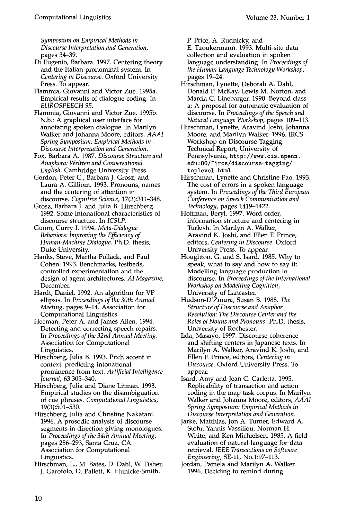*Symposium on Empirical Methods in Discourse Interpretation and Generation,*  pages 34-39.

- Di Eugenio, Barbara. 1997. Centering theory and the Italian pronominal system. In *Centering in Discourse.* Oxford University Press. To appear.
- Flammia, Giovanni and Victor Zue. 1995a. Empirical results of dialogue coding. In *EUROSPEECH 95.*
- Flammia, Giovanni and Victor Zue. 1995b. N.b.: A graphical user interface for annotating spoken dialogue. In Marilyn Walker and Johanna Moore, editors, *AAAI Spring Symposium: Empirical Methods in Discourse Interpretation and Generation.*

Fox, Barbara A. 1987. *Discourse Structure and Anaphora: Written and Conversational English.* Cambridge University Press.

Gordon, Peter C., Barbara J. Grosz, and Laura A. Gilliom. 1993. Pronouns, names and the centering of attention in discourse. *Cognitive Science,* 17(3):311-348.

Grosz, Barbara J. and Julia B. Hirschberg. 1992. Some intonational characteristics of discourse structure. In *ICSLP.* 

Guinn, Curry I. 1994. *Meta-Dialogue Behaviors: Improving the Efficiency of Human-Machine Dialogue.* Ph.D. thesis, Duke University.

- Hanks, Steve, Martha Pollack, and Paul Cohen. 1993. Benchmarks, testbeds, controlled experimentation and the design of agent architectures. *AI Magazine,*  December.
- Hardt, Daniel. 1992. An algorithm for VP ellipsis. In *Proceedings of the 30th Annual Meeting,* pages 9-14. Association for Computational Linguistics.

Heeman, Peter A. and James Allen. 1994. Detecting and correcting speech repairs. *In Proceedings of the 32nd Annual Meeting.*  Association for Computational Linguistics.

Hirschberg, Julia B. 1993. Pitch accent in context: predicting intonational prominence from text. *Artificial Intelligence Journal,* 63:305-340.

Hirschberg, Julia and Diane Litman. 1993. Empirical studies on the disambiguation of cue phrases. *Computational Linguistics,*  19(3):501-530.

Hirschberg, Julia and Christine Nakatani. 1996. A prosodic analysis of discourse segments in direction-giving monologues. *In Proceedings of the 34th Annual Meeting,*  pages 286-293, Santa Cruz, CA. Association for Computational Linguistics.

Hirschman, L., M. Bates, D. Dahl, W. Fisher, J. Garofolo, D. Pallett, K. Hunicke-Smith,

P. Price, A. Rudnicky, and

E. Tzoukermann. 1993. Multi-site data collection and evaluation in spoken language understanding. In *Proceedings of the Human Language Technology Workshop,*  pages 19-24.

- Hirschman, Lynette, Deborah A. Dahl, Donald P. McKay, Lewis M. Norton, and Marcia C. Linebarger. 1990. Beyond class a: A proposal for automatic evaluation of discourse. In *Proceedings of the Speech and Natural Language Workshop,* pages 109-113.
- Hirschman, Lynette, Aravind Joshi, Johanna Moore, and Marilyn Walker. 1996. IRCS Workshop on Discourse Tagging. Technical Report, University of Pennsylvania, http://www, cis. upenn. edu: 80/"ircs/discourse-tagging/ toplevel, html.
- Hirschman, Lynette and Christine Pao. 1993. The cost of errors in a spoken language system. In *Proceedings of the Third European Conference on Speech Communication and Technology,* pages 1419-1422.
- Hoffman, Beryl. 1997. Word order, information structure and centering in Turkish. In Marilyn A. Walker, Aravind K. Joshi, and Ellen E Prince, editors, *Centering in Discourse.* Oxford University Press. To appear.
- Houghton, G. and S. Isard. 1985. Why to speak, what to say and how to say it: Modelling language production in discourse. In *Proceedings of the International Workshop on Modelling Cognition,*  University of Lancaster.
- Hudson-D'Zmura, Susan B. 1988. *The Structure of Discourse and Anaphor Resolution: The Discourse Center and the Roles of Nouns and Pronouns.* Ph.D. thesis, University of Rochester.
- Iida, Masayo. 1997. Discourse coherence and shifting centers in Japanese texts. In Marilyn A. Walker, Aravind K. Joshi, and Ellen F. Prince, editors, *Centering in Discourse.* Oxford University Press. To appear.
- Isard, Amy and Jean C. Carletta. 1995. Replicability of transaction and action coding in the map task corpus. In Marilyn Walker and Johanna Moore, editors, *AAAI Spring Symposium: Empirical Methods in Discourse Interpretation and Generation.*
- Jarke, Matthias, Jon A. Turner, Edward A. Stohr, Yannis Vassiliou, Norman H. White, and Ken Michielsen. 1985. A field evaluation of natural language for data retrieval. *IEEE Transactions on Software Engineering,* SE-11, No.1:97-113.
- Jordan, Pamela and Marilyn A. Walker. 1996. Deciding to remind during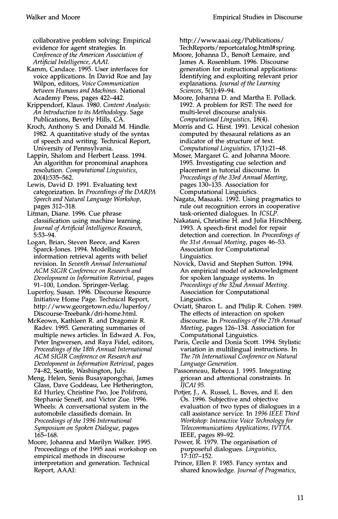collaborative problem solving: Empirical evidence for agent strategies. In *Conference of the American Association of Artificial Intelligence, AAAI.* 

- Kamm, Candace. 1995. User interfaces for voice applications. In David Roe and Jay Wilpon, editors, *Voice Communication between Humans and Machines.* National Academy Press, pages 422-442.
- Krippendorf, Klaus. 1980. *Content Analysis: An Introduction to its Methodology.* Sage Publications, Beverly Hills, CA.
- Kroch, Anthony S. and Donald M. Hindle. 1982. A quantitative study of the syntax of speech and writing. Technical Report, University of Pennsylvania.
- Lappin, Shalom and Herbert Leass. 1994. An algorithm for pronominal anaphora resolution. *Computational Linguistics,*  20(4):535-562.
- Lewis, David D. 1991. Evaluating text categorization. In *Proceedings of the DARPA Speech and Natural Language Workshop,*  pages 312-318.
- Litman, Diane. 1996. Cue phrase classification using machine learning. *Journal of Artifi'cial Intelligence Research,*  5:53-94.
- Logan, Brian, Steven Reece, and Karen Sparck-Jones. 1994. Modelling information retrieval agents with belief revision. In *Seventh Annual International ACM SIGIR Conference on Research and Development in Information Retrieval,* pages 91-100, London. Springer-Verlag.
- Luperfoy, Susan. 1996. Discourse Resource Initiative Home Page. Technical Report, http://www.georgetown.edu/luperfoy/ Discourse-Treebank/dri-home.html.
- McKeown, Kathleen R. and Dragomir R. Radev. 1995. Generating summaries of multiple news articles. In Edward A. Fox, Peter Ingwersen, and Raya Fidel, editors, *Proceedings of the 18th Annual International ACM SIGIR Conference on Research and Development in Information Retrieval,* pages 74-82, Seattle, Washington, July.
- Meng, Helen, Senis Busayapongchai, James Glass, Dave Goddeau, Lee Hetherington, Ed Hurley, Christine Pao, Joe Polifroni, Stephanie Seneff, and Victor Zue. 1996. Wheels: A conversational system in the automobile classifieds domain. In *Proceedings of the 1996 International Symposium on Spoken Dialogue,* pages 165-168.
- Moore, Johanna and Marilyn Walker. 1995. Proceedings of the 1995 aaai workshop on empirical methods in discourse interpretation and generation. Technical Report, AAAI:

http://www.aaai.org/Publications/ TechReports/reportcatalog.html#spring.

- Moore, Johanna D., Benoff Lemaire, and James A. Rosenblum. 1996. Discourse generation for instructional applications: Identifying and exploiting relevant prior explanations. *Journal of the Learning Sciences,* 5(1):49-94.
- Moore, Johanna D. and Martha E. Pollack. 1992. A problem for RST: The need for multi-level discourse analysis. *Computational Linguistics,* 18(4).
- Morris and G. Hirst. 1991. Lexical cohesion computed by thesaural relations as an indicator of the structure of text. *Computational Linguistics,* 17(1):21--48.
- Moser, Margaret G. and Johanna Moore. 1995. Investigating cue selection and placement in tutorial discourse. In *Proceedings of the 33rd Annual Meeting,*  pages 130-135. Association for Computational Linguistics.
- Nagata, Masaaki. 1992. Using pragmatics to rule out recognition errors in cooperative task-oriented dialogues. In *ICSLP.*
- Nakatani, Christine H. and Julia Hirschberg. 1993. A speech-first model for repair detection and correction. In *Proceedings of the 31st Annual Meeting, pages 46-53.* Association for Computational Linguistics.
- Novick, David and Stephen Sutton. 1994. An empirical model of acknowledgment for spoken language systems. In *Proceedings of the 32nd Annual Meeting.*  Association for Computational Linguistics.
- Oviatt, Sharon L. and Philip R. Cohen. 1989. The effects of interaction on spoken discourse. In *Proceedings of the 27th Annual Meeting,* pages 126-134. Association for Computational Linguistics.
- Paris, Cecile and Donia Scott. 1994. Stylistic variation in multilingual instructions. In *The 7th International Conference on Natural Language Generation.*
- Passonneau, Rebecca J. 1995. Integrating gricean and attentional constraints. In *IJCA195.*
- Potjer, J., A. Russel, L. Boves, and E. den Os. 1996. Subjective and objective evaluation of two types of dialogues in a call assistance service. In *1996 IEEE Third Workshop: Interactive Voice Technology for Telecommunications Applications, IVTTA.*  IEEE, pages 89-92.
- Power, R. 1979. The organisation of purposeful dialogues. *Linguistics,*  17:107-152.
- Prince, Ellen E 1985. Fancy syntax and shared knowledge. *Journal of Pragmatics,*